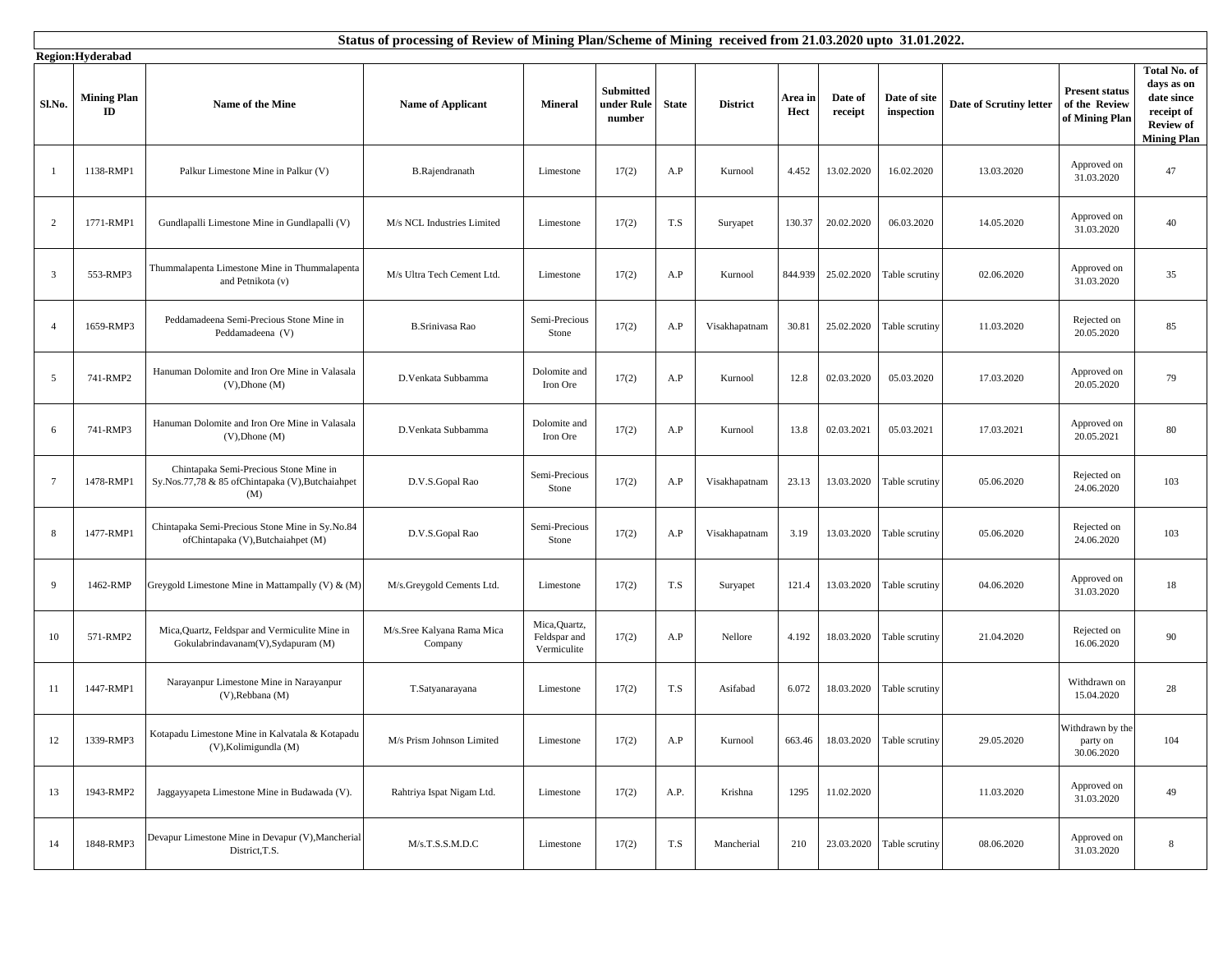|                 | Status of processing of Review of Mining Plan/Scheme of Mining received from 21.03.2020 upto 31.01.2022.<br>Region:Hyderabad |                                                                                                    |                                       |                                              |                                          |              |                 |                 |                    |                            |                         |                                                          |                                                                                                  |
|-----------------|------------------------------------------------------------------------------------------------------------------------------|----------------------------------------------------------------------------------------------------|---------------------------------------|----------------------------------------------|------------------------------------------|--------------|-----------------|-----------------|--------------------|----------------------------|-------------------------|----------------------------------------------------------|--------------------------------------------------------------------------------------------------|
| Sl.No.          | <b>Mining Plan</b><br>ID                                                                                                     | Name of the Mine                                                                                   | <b>Name of Applicant</b>              | <b>Mineral</b>                               | <b>Submitted</b><br>under Rule<br>number | <b>State</b> | <b>District</b> | Area in<br>Hect | Date of<br>receipt | Date of site<br>inspection | Date of Scrutiny letter | <b>Present status</b><br>of the Review<br>of Mining Plan | Total No. of<br>days as on<br>date since<br>receipt of<br><b>Review of</b><br><b>Mining Plan</b> |
|                 | 1138-RMP1                                                                                                                    | Palkur Limestone Mine in Palkur (V)                                                                | B.Rajendranath                        | Limestone                                    | 17(2)                                    | A.P          | Kurnool         | 4.452           | 13.02.2020         | 16.02.2020                 | 13.03.2020              | Approved on<br>31.03.2020                                | 47                                                                                               |
| $\overline{2}$  | 1771-RMP1                                                                                                                    | Gundlapalli Limestone Mine in Gundlapalli (V)                                                      | M/s NCL Industries Limited            | Limestone                                    | 17(2)                                    | T.S          | Suryapet        | 130.37          | 20.02.2020         | 06.03.2020                 | 14.05.2020              | Approved on<br>31.03.2020                                | 40                                                                                               |
| 3               | 553-RMP3                                                                                                                     | Thummalapenta Limestone Mine in Thummalapenta<br>and Petnikota (v)                                 | M/s Ultra Tech Cement Ltd.            | Limestone                                    | 17(2)                                    | A.P          | Kurnool         | 844.939         | 25.02.2020         | Table scrutiny             | 02.06.2020              | Approved on<br>31.03.2020                                | 35                                                                                               |
| $\overline{4}$  | 1659-RMP3                                                                                                                    | Peddamadeena Semi-Precious Stone Mine in<br>Peddamadeena (V)                                       | <b>B.Srinivasa Rao</b>                | Semi-Precious<br>Stone                       | 17(2)                                    | A.P          | Visakhapatnam   | 30.81           | 25.02.2020         | Table scrutiny             | 11.03.2020              | Rejected on<br>20.05.2020                                | 85                                                                                               |
| 5               | 741-RMP2                                                                                                                     | Hanuman Dolomite and Iron Ore Mine in Valasala<br>$(V)$ , Dhone $(M)$                              | D.Venkata Subbamma                    | Dolomite and<br>Iron Ore                     | 17(2)                                    | A.P          | Kurnool         | 12.8            | 02.03.2020         | 05.03.2020                 | 17.03.2020              | Approved on<br>20.05.2020                                | 79                                                                                               |
| 6               | 741-RMP3                                                                                                                     | Hanuman Dolomite and Iron Ore Mine in Valasala<br>$(V)$ , Dhone $(M)$                              | D.Venkata Subbamma                    | Dolomite and<br>Iron Ore                     | 17(2)                                    | A.P          | Kurnool         | 13.8            | 02.03.2021         | 05.03.2021                 | 17.03.2021              | Approved on<br>20.05.2021                                | 80                                                                                               |
| $7\phantom{.0}$ | 1478-RMP1                                                                                                                    | Chintapaka Semi-Precious Stone Mine in<br>Sy.Nos.77,78 & 85 of Chintapaka (V), Butchaiahpet<br>(M) | D.V.S.Gopal Rao                       | Semi-Precious<br>Stone                       | 17(2)                                    | A.P          | Visakhapatnam   | 23.13           | 13.03.2020         | Table scrutiny             | 05.06.2020              | Rejected on<br>24.06.2020                                | 103                                                                                              |
| -8              | 1477-RMP1                                                                                                                    | Chintapaka Semi-Precious Stone Mine in Sy.No.84<br>ofChintapaka (V), Butchaiahpet (M)              | D.V.S.Gopal Rao                       | Semi-Precious<br>Stone                       | 17(2)                                    | A.P          | Visakhapatnam   | 3.19            | 13.03.2020         | Table scrutiny             | 05.06.2020              | Rejected on<br>24.06.2020                                | 103                                                                                              |
| 9               | 1462-RMP                                                                                                                     | Greygold Limestone Mine in Mattampally (V) & (M)                                                   | M/s.Greygold Cements Ltd.             | Limestone                                    | 17(2)                                    | T.S          | Suryapet        | 121.4           | 13.03.2020         | Table scrutiny             | 04.06.2020              | Approved on<br>31.03.2020                                | 18                                                                                               |
| 10              | 571-RMP2                                                                                                                     | Mica, Quartz, Feldspar and Vermiculite Mine in<br>Gokulabrindavanam(V), Sydapuram (M)              | M/s.Sree Kalyana Rama Mica<br>Company | Mica, Quartz,<br>Feldspar and<br>Vermiculite | 17(2)                                    | A.P          | Nellore         | 4.192           | 18.03.2020         | Table scrutiny             | 21.04.2020              | Rejected on<br>16.06.2020                                | 90                                                                                               |
| 11              | 1447-RMP1                                                                                                                    | Narayanpur Limestone Mine in Narayanpur<br>(V), Rebbana (M)                                        | T.Satyanarayana                       | Limestone                                    | 17(2)                                    | T.S          | Asifabad        | 6.072           | 18.03.2020         | Table scrutiny             |                         | Withdrawn on<br>15.04.2020                               | 28                                                                                               |
| 12              | 1339-RMP3                                                                                                                    | Kotapadu Limestone Mine in Kalvatala & Kotapadu<br>(V), Kolimigundla (M)                           | M/s Prism Johnson Limited             | Limestone                                    | 17(2)                                    | A.P          | Kurnool         | 663.46          | 18.03.2020         | Table scrutiny             | 29.05.2020              | Withdrawn by the<br>party on<br>30.06.2020               | 104                                                                                              |
| 13              | 1943-RMP2                                                                                                                    | Jaggayyapeta Limestone Mine in Budawada (V).                                                       | Rahtriya Ispat Nigam Ltd.             | Limestone                                    | 17(2)                                    | A.P.         | Krishna         | 1295            | 11.02.2020         |                            | 11.03.2020              | Approved on<br>31.03.2020                                | 49                                                                                               |
| 14              | 1848-RMP3                                                                                                                    | Devapur Limestone Mine in Devapur (V), Mancherial<br>District, T.S.                                | M/s.T.S.S.M.D.C                       | Limestone                                    | 17(2)                                    | T.S          | Mancherial      | 210             | 23.03.2020         | Table scrutiny             | 08.06.2020              | Approved on<br>31.03.2020                                | 8                                                                                                |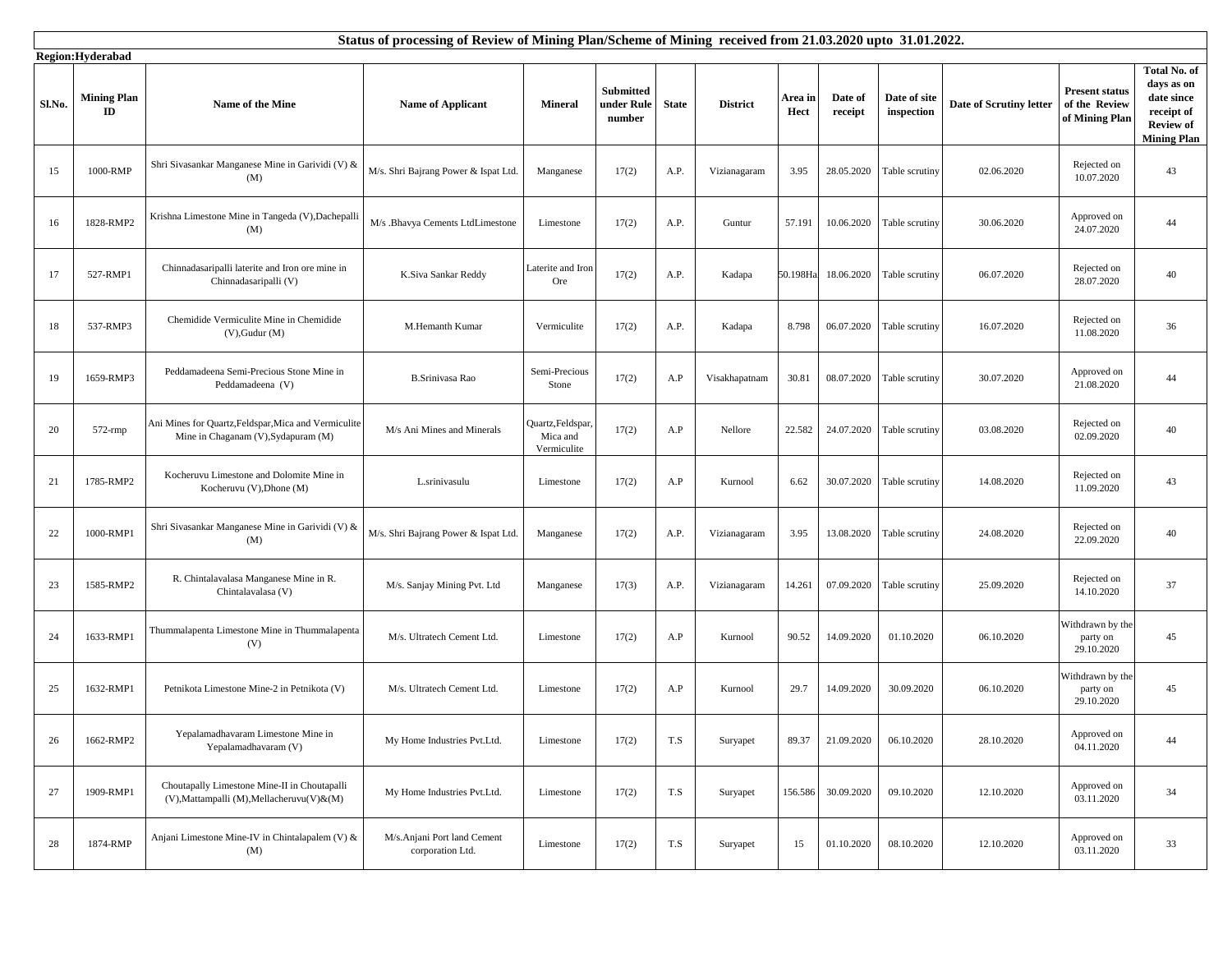|        | Status of processing of Review of Mining Plan/Scheme of Mining received from 21.03.2020 upto 31.01.2022.<br>Region:Hyderabad |                                                                                             |                                                 |                                              |                                          |              |                 |                 |                    |                            |                         |                                                          |                                                                                                  |
|--------|------------------------------------------------------------------------------------------------------------------------------|---------------------------------------------------------------------------------------------|-------------------------------------------------|----------------------------------------------|------------------------------------------|--------------|-----------------|-----------------|--------------------|----------------------------|-------------------------|----------------------------------------------------------|--------------------------------------------------------------------------------------------------|
| Sl.No. | <b>Mining Plan</b><br>ID                                                                                                     | Name of the Mine                                                                            | <b>Name of Applicant</b>                        | <b>Mineral</b>                               | <b>Submitted</b><br>under Rule<br>number | <b>State</b> | <b>District</b> | Area in<br>Hect | Date of<br>receipt | Date of site<br>inspection | Date of Scrutiny letter | <b>Present status</b><br>of the Review<br>of Mining Plan | Total No. of<br>days as on<br>date since<br>receipt of<br><b>Review of</b><br><b>Mining Plan</b> |
| 15     | 1000-RMP                                                                                                                     | Shri Sivasankar Manganese Mine in Garividi (V) &<br>(M)                                     | M/s. Shri Bajrang Power & Ispat Ltd.            | Manganese                                    | 17(2)                                    | A.P.         | Vizianagaram    | 3.95            | 28.05.2020         | Table scrutiny             | 02.06.2020              | Rejected on<br>10.07.2020                                | 43                                                                                               |
| 16     | 1828-RMP2                                                                                                                    | Krishna Limestone Mine in Tangeda (V), Dachepalli<br>(M)                                    | M/s .Bhavya Cements LtdLimestone                | Limestone                                    | 17(2)                                    | A.P.         | Guntur          | 57.191          | 10.06.2020         | Table scrutiny             | 30.06.2020              | Approved on<br>24.07.2020                                | 44                                                                                               |
| 17     | 527-RMP1                                                                                                                     | Chinnadasaripalli laterite and Iron ore mine in<br>Chinnadasaripalli (V)                    | K.Siva Sankar Reddy                             | Laterite and Iron<br>Ore                     | 17(2)                                    | A.P.         | Kadapa          | 50.198Ha        | 18.06.2020         | Table scrutiny             | 06.07.2020              | Rejected on<br>28.07.2020                                | 40                                                                                               |
| 18     | 537-RMP3                                                                                                                     | Chemidide Vermiculite Mine in Chemidide<br>$(V)$ , Gudur $(M)$                              | M.Hemanth Kumar                                 | Vermiculite                                  | 17(2)                                    | A.P.         | Kadapa          | 8.798           | 06.07.2020         | Table scrutiny             | 16.07.2020              | Rejected on<br>11.08.2020                                | 36                                                                                               |
| 19     | 1659-RMP3                                                                                                                    | Peddamadeena Semi-Precious Stone Mine in<br>Peddamadeena (V)                                | <b>B.Srinivasa Rao</b>                          | Semi-Precious<br>Stone                       | 17(2)                                    | A.P          | Visakhapatnam   | 30.81           | 08.07.2020         | Table scrutiny             | 30.07.2020              | Approved on<br>21.08.2020                                | 44                                                                                               |
| 20     | 572-rmp                                                                                                                      | Ani Mines for Quartz, Feldspar, Mica and Vermiculite<br>Mine in Chaganam (V), Sydapuram (M) | M/s Ani Mines and Minerals                      | Quartz, Feldspar,<br>Mica and<br>Vermiculite | 17(2)                                    | A.P          | Nellore         | 22.582          | 24.07.2020         | Table scrutiny             | 03.08.2020              | Rejected on<br>02.09.2020                                | 40                                                                                               |
| 21     | 1785-RMP2                                                                                                                    | Kocheruvu Limestone and Dolomite Mine in<br>Kocheruvu (V), Dhone (M)                        | L.srinivasulu                                   | Limestone                                    | 17(2)                                    | A.P          | Kurnool         | 6.62            | 30.07.2020         | Table scrutiny             | 14.08.2020              | Rejected on<br>11.09.2020                                | 43                                                                                               |
| 22     | 1000-RMP1                                                                                                                    | Shri Sivasankar Manganese Mine in Garividi (V) &<br>(M)                                     | M/s. Shri Bajrang Power & Ispat Ltd.            | Manganese                                    | 17(2)                                    | A.P.         | Vizianagaram    | 3.95            | 13.08.2020         | Table scrutiny             | 24.08.2020              | Rejected on<br>22.09.2020                                | 40                                                                                               |
| 23     | 1585-RMP2                                                                                                                    | R. Chintalavalasa Manganese Mine in R.<br>Chintalavalasa (V)                                | M/s. Sanjay Mining Pvt. Ltd                     | Manganese                                    | 17(3)                                    | A.P.         | Vizianagaram    | 14.261          | 07.09.2020         | Table scrutiny             | 25.09.2020              | Rejected on<br>14.10.2020                                | 37                                                                                               |
| 24     | 1633-RMP1                                                                                                                    | Thummalapenta Limestone Mine in Thummalapenta<br>(V)                                        | M/s. Ultratech Cement Ltd.                      | Limestone                                    | 17(2)                                    | A.P          | Kurnool         | 90.52           | 14.09.2020         | 01.10.2020                 | 06.10.2020              | Withdrawn by the<br>party on<br>29.10.2020               | 45                                                                                               |
| 25     | 1632-RMP1                                                                                                                    | Petnikota Limestone Mine-2 in Petnikota (V)                                                 | M/s. Ultratech Cement Ltd.                      | Limestone                                    | 17(2)                                    | A.P          | Kurnool         | 29.7            | 14.09.2020         | 30.09.2020                 | 06.10.2020              | Withdrawn by the<br>party on<br>29.10.2020               | 45                                                                                               |
| 26     | 1662-RMP2                                                                                                                    | Yepalamadhavaram Limestone Mine in<br>Yepalamadhavaram (V)                                  | My Home Industries Pvt.Ltd.                     | Limestone                                    | 17(2)                                    | T.S          | Suryapet        | 89.37           | 21.09.2020         | 06.10.2020                 | 28.10.2020              | Approved on<br>04.11.2020                                | 44                                                                                               |
| 27     | 1909-RMP1                                                                                                                    | Choutapally Limestone Mine-II in Choutapalli<br>(V), Mattampalli (M), Mellacheruvu(V) & (M) | My Home Industries Pvt.Ltd.                     | Limestone                                    | 17(2)                                    | T.S          | Suryapet        | 156.586         | 30.09.2020         | 09.10.2020                 | 12.10.2020              | Approved on<br>03.11.2020                                | 34                                                                                               |
| $28\,$ | 1874-RMP                                                                                                                     | Anjani Limestone Mine-IV in Chintalapalem (V) &<br>(M)                                      | M/s.Anjani Port land Cement<br>corporation Ltd. | Limestone                                    | 17(2)                                    | T.S          | Suryapet        | 15              | 01.10.2020         | 08.10.2020                 | 12.10.2020              | Approved on<br>03.11.2020                                | 33                                                                                               |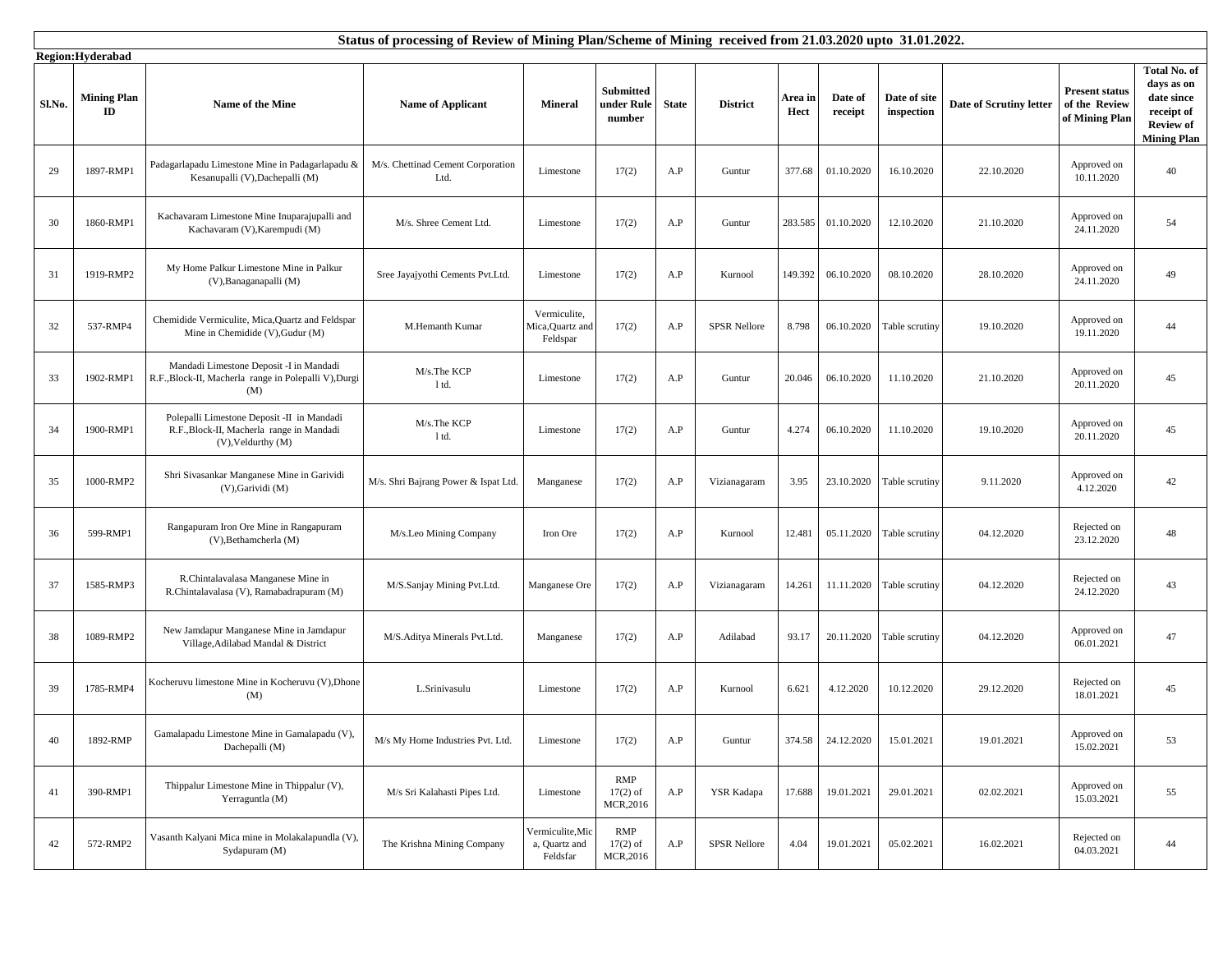|        | Status of processing of Review of Mining Plan/Scheme of Mining received from 21.03.2020 upto 31.01.2022.<br>Region:Hyderabad |                                                                                                                    |                                           |                                               |                                          |              |                     |                 |                    |                            |                         |                                                          |                                                                                                  |
|--------|------------------------------------------------------------------------------------------------------------------------------|--------------------------------------------------------------------------------------------------------------------|-------------------------------------------|-----------------------------------------------|------------------------------------------|--------------|---------------------|-----------------|--------------------|----------------------------|-------------------------|----------------------------------------------------------|--------------------------------------------------------------------------------------------------|
| Sl.No. | <b>Mining Plan</b><br>ID                                                                                                     | <b>Name of the Mine</b>                                                                                            | <b>Name of Applicant</b>                  | <b>Mineral</b>                                | <b>Submitted</b><br>under Rule<br>number | <b>State</b> | <b>District</b>     | Area in<br>Hect | Date of<br>receipt | Date of site<br>inspection | Date of Scrutiny letter | <b>Present status</b><br>of the Review<br>of Mining Plan | Total No. of<br>days as on<br>date since<br>receipt of<br><b>Review of</b><br><b>Mining Plan</b> |
| 29     | 1897-RMP1                                                                                                                    | Padagarlapadu Limestone Mine in Padagarlapadu &<br>Kesanupalli (V), Dachepalli (M)                                 | M/s. Chettinad Cement Corporation<br>Ltd. | Limestone                                     | 17(2)                                    | A.P          | Guntur              | 377.68          | 01.10.2020         | 16.10.2020                 | 22.10.2020              | Approved on<br>10.11.2020                                | 40                                                                                               |
| 30     | 1860-RMP1                                                                                                                    | Kachavaram Limestone Mine Inuparajupalli and<br>Kachavaram (V), Karempudi (M)                                      | M/s. Shree Cement Ltd.                    | Limestone                                     | 17(2)                                    | A.P          | Guntur              | 283.585         | 01.10.2020         | 12.10.2020                 | 21.10.2020              | Approved on<br>24.11.2020                                | 54                                                                                               |
| 31     | 1919-RMP2                                                                                                                    | My Home Palkur Limestone Mine in Palkur<br>(V), Banaganapalli (M)                                                  | Sree Jayajyothi Cements Pvt.Ltd.          | Limestone                                     | 17(2)                                    | A.P          | Kurnool             | 149.392         | 06.10.2020         | 08.10.2020                 | 28.10.2020              | Approved on<br>24.11.2020                                | 49                                                                                               |
| 32     | 537-RMP4                                                                                                                     | Chemidide Vermiculite, Mica, Quartz and Feldspar<br>Mine in Chemidide (V), Gudur (M)                               | M.Hemanth Kumar                           | Vermiculite,<br>Mica, Quartz and<br>Feldspar  | 17(2)                                    | A.P          | <b>SPSR Nellore</b> | 8.798           | 06.10.2020         | Table scrutiny             | 19.10.2020              | Approved on<br>19.11.2020                                | 44                                                                                               |
| 33     | 1902-RMP1                                                                                                                    | Mandadi Limestone Deposit -I in Mandadi<br>R.F., Block-II, Macherla range in Polepalli V), Durgi<br>(M)            | M/s.The KCP<br>1 td.                      | Limestone                                     | 17(2)                                    | A.P          | Guntur              | 20.046          | 06.10.2020         | 11.10.2020                 | 21.10.2020              | Approved on<br>20.11.2020                                | 45                                                                                               |
| 34     | 1900-RMP1                                                                                                                    | Polepalli Limestone Deposit -II in Mandadi<br>R.F., Block-II, Macherla range in Mandadi<br>$(V)$ , Veldurthy $(M)$ | M/s.The KCP<br>1 td.                      | Limestone                                     | 17(2)                                    | A.P          | Guntur              | 4.274           | 06.10.2020         | 11.10.2020                 | 19.10.2020              | Approved on<br>20.11.2020                                | 45                                                                                               |
| 35     | 1000-RMP2                                                                                                                    | Shri Sivasankar Manganese Mine in Garividi<br>(V), Garividi (M)                                                    | M/s. Shri Bajrang Power & Ispat Ltd.      | Manganese                                     | 17(2)                                    | A.P          | Vizianagaram        | 3.95            | 23.10.2020         | Table scrutiny             | 9.11.2020               | Approved on<br>4.12.2020                                 | 42                                                                                               |
| 36     | 599-RMP1                                                                                                                     | Rangapuram Iron Ore Mine in Rangapuram<br>(V), Bethamcherla (M)                                                    | M/s.Leo Mining Company                    | Iron Ore                                      | 17(2)                                    | A.P          | Kurnool             | 12.481          | 05.11.2020         | Table scrutiny             | 04.12.2020              | Rejected on<br>23.12.2020                                | 48                                                                                               |
| 37     | 1585-RMP3                                                                                                                    | R.Chintalavalasa Manganese Mine in<br>R.Chintalavalasa (V), Ramabadrapuram (M)                                     | M/S.Sanjay Mining Pvt.Ltd.                | Manganese Ore                                 | 17(2)                                    | A.P          | Vizianagaram        | 14.261          | 11.11.2020         | Table scrutiny             | 04.12.2020              | Rejected on<br>24.12.2020                                | 43                                                                                               |
| 38     | 1089-RMP2                                                                                                                    | New Jamdapur Manganese Mine in Jamdapur<br>Village, Adilabad Mandal & District                                     | M/S.Aditya Minerals Pvt.Ltd.              | Manganese                                     | 17(2)                                    | A.P          | Adilabad            | 93.17           | 20.11.2020         | Table scrutiny             | 04.12.2020              | Approved on<br>06.01.2021                                | 47                                                                                               |
| 39     | 1785-RMP4                                                                                                                    | Kocheruvu limestone Mine in Kocheruvu (V), Dhone<br>(M)                                                            | L.Srinivasulu                             | Limestone                                     | 17(2)                                    | A.P          | Kurnool             | 6.621           | 4.12.2020          | 10.12.2020                 | 29.12.2020              | Rejected on<br>18.01.2021                                | 45                                                                                               |
| 40     | 1892-RMP                                                                                                                     | Gamalapadu Limestone Mine in Gamalapadu (V),<br>Dachepalli (M)                                                     | M/s My Home Industries Pvt. Ltd.          | Limestone                                     | 17(2)                                    | A.P          | Guntur              | 374.58          | 24.12.2020         | 15.01.2021                 | 19.01.2021              | Approved on<br>15.02.2021                                | 53                                                                                               |
| 41     | 390-RMP1                                                                                                                     | Thippalur Limestone Mine in Thippalur (V),<br>Yerraguntla (M)                                                      | M/s Sri Kalahasti Pipes Ltd.              | Limestone                                     | RMP<br>$17(2)$ of<br>MCR, 2016           | A.P          | <b>YSR Kadapa</b>   | 17.688          | 19.01.2021         | 29.01.2021                 | 02.02.2021              | Approved on<br>15.03.2021                                | 55                                                                                               |
| 42     | 572-RMP2                                                                                                                     | Vasanth Kalyani Mica mine in Molakalapundla (V),<br>Sydapuram (M)                                                  | The Krishna Mining Company                | Vermiculite, Mic<br>a, Quartz and<br>Feldsfar | RMP<br>$17(2)$ of<br>MCR, 2016           | A.P          | <b>SPSR Nellore</b> | 4.04            | 19.01.2021         | 05.02.2021                 | 16.02.2021              | Rejected on<br>04.03.2021                                | 44                                                                                               |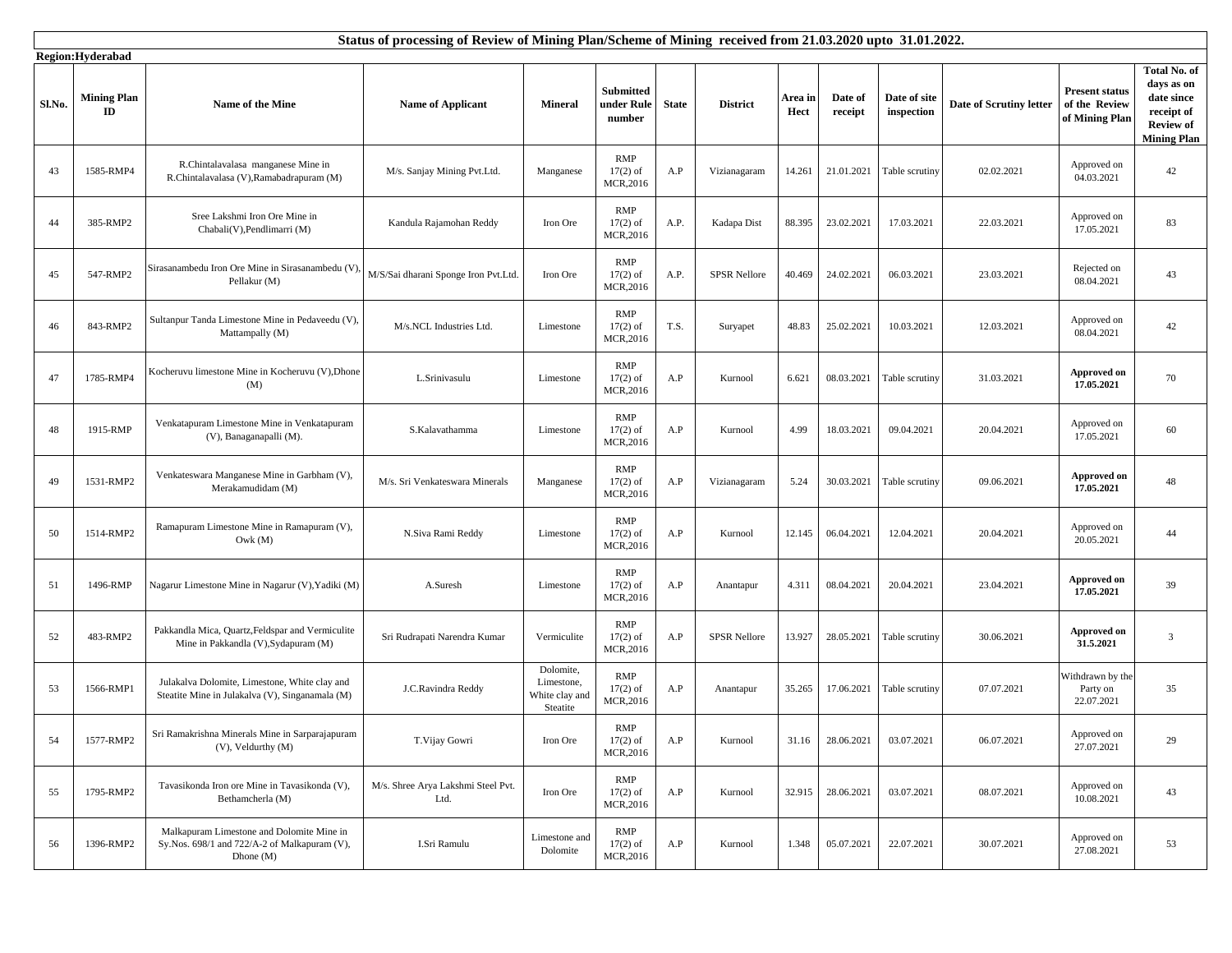|        | Status of processing of Review of Mining Plan/Scheme of Mining received from 21.03.2020 upto 31.01.2022.<br>Region:Hyderabad |                                                                                                          |                                            |                                                       |                                             |              |                     |                 |                    |                            |                         |                                                          |                                                                                                  |
|--------|------------------------------------------------------------------------------------------------------------------------------|----------------------------------------------------------------------------------------------------------|--------------------------------------------|-------------------------------------------------------|---------------------------------------------|--------------|---------------------|-----------------|--------------------|----------------------------|-------------------------|----------------------------------------------------------|--------------------------------------------------------------------------------------------------|
| Sl.No. | <b>Mining Plan</b><br>ID                                                                                                     | Name of the Mine                                                                                         | <b>Name of Applicant</b>                   | <b>Mineral</b>                                        | <b>Submitted</b><br>under Rule<br>number    | <b>State</b> | <b>District</b>     | Area in<br>Hect | Date of<br>receipt | Date of site<br>inspection | Date of Scrutiny letter | <b>Present status</b><br>of the Review<br>of Mining Plan | Total No. of<br>days as on<br>date since<br>receipt of<br><b>Review of</b><br><b>Mining Plan</b> |
| 43     | 1585-RMP4                                                                                                                    | R.Chintalavalasa manganese Mine in<br>R.Chintalavalasa (V), Ramabadrapuram (M)                           | M/s. Sanjay Mining Pvt.Ltd.                | Manganese                                             | <b>RMP</b><br>$17(2)$ of<br><b>MCR,2016</b> | A.P          | Vizianagaram        | 14.261          | 21.01.2021         | Table scrutiny             | 02.02.2021              | Approved on<br>04.03.2021                                | 42                                                                                               |
| 44     | 385-RMP2                                                                                                                     | Sree Lakshmi Iron Ore Mine in<br>Chabali(V), Pendlimarri (M)                                             | Kandula Rajamohan Reddy                    | Iron Ore                                              | <b>RMP</b><br>$17(2)$ of<br><b>MCR.2016</b> | A.P.         | Kadapa Dist         | 88.395          | 23.02.2021         | 17.03.2021                 | 22.03.2021              | Approved on<br>17.05.2021                                | 83                                                                                               |
| 45     | 547-RMP2                                                                                                                     | Sirasanambedu Iron Ore Mine in Sirasanambedu (V)<br>Pellakur (M)                                         | M/S/Sai dharani Sponge Iron Pvt.Ltd.       | Iron Ore                                              | RMP<br>$17(2)$ of<br><b>MCR,2016</b>        | A.P.         | <b>SPSR Nellore</b> | 40.469          | 24.02.2021         | 06.03.2021                 | 23.03.2021              | Rejected on<br>08.04.2021                                | 43                                                                                               |
| 46     | 843-RMP2                                                                                                                     | Sultanpur Tanda Limestone Mine in Pedaveedu (V),<br>Mattampally (M)                                      | M/s.NCL Industries Ltd.                    | Limestone                                             | RMP<br>$17(2)$ of<br>MCR, 2016              | T.S.         | Suryapet            | 48.83           | 25.02.2021         | 10.03.2021                 | 12.03.2021              | Approved on<br>08.04.2021                                | 42                                                                                               |
| 47     | 1785-RMP4                                                                                                                    | Kocheruvu limestone Mine in Kocheruvu (V), Dhone<br>(M)                                                  | L.Srinivasulu                              | Limestone                                             | <b>RMP</b><br>$17(2)$ of<br>MCR, 2016       | A.P          | Kurnool             | 6.621           | 08.03.2021         | Table scrutiny             | 31.03.2021              | Approved on<br>17.05.2021                                | 70                                                                                               |
| 48     | 1915-RMP                                                                                                                     | Venkatapuram Limestone Mine in Venkatapuram<br>(V), Banaganapalli (M).                                   | S.Kalavathamma                             | Limestone                                             | <b>RMP</b><br>$17(2)$ of<br>MCR, 2016       | A.P          | Kurnool             | 4.99            | 18.03.2021         | 09.04.2021                 | 20.04.2021              | Approved on<br>17.05.2021                                | 60                                                                                               |
| 49     | 1531-RMP2                                                                                                                    | Venkateswara Manganese Mine in Garbham (V),<br>Merakamudidam (M)                                         | M/s. Sri Venkateswara Minerals             | Manganese                                             | RMP<br>$17(2)$ of<br>MCR, 2016              | A.P          | Vizianagaram        | 5.24            | 30.03.2021         | Table scrutiny             | 09.06.2021              | <b>Approved on</b><br>17.05.2021                         | 48                                                                                               |
| 50     | 1514-RMP2                                                                                                                    | Ramapuram Limestone Mine in Ramapuram (V),<br>Owk(M)                                                     | N.Siva Rami Reddy                          | Limestone                                             | <b>RMP</b><br>$17(2)$ of<br>MCR, 2016       | A.P          | Kurnool             | 12.145          | 06.04.2021         | 12.04.2021                 | 20.04.2021              | Approved on<br>20.05.2021                                | 44                                                                                               |
| 51     | 1496-RMP                                                                                                                     | Nagarur Limestone Mine in Nagarur (V), Yadiki (M)                                                        | A.Suresh                                   | Limestone                                             | RMP<br>$17(2)$ of<br>MCR, 2016              | A.P          | Anantapur           | 4.311           | 08.04.2021         | 20.04.2021                 | 23.04.2021              | <b>Approved on</b><br>17.05.2021                         | 39                                                                                               |
| 52     | 483-RMP2                                                                                                                     | Pakkandla Mica, Quartz, Feldspar and Vermiculite<br>Mine in Pakkandla (V), Sydapuram (M)                 | Sri Rudrapati Narendra Kumar               | Vermiculite                                           | <b>RMP</b><br>$17(2)$ of<br>MCR, 2016       | A.P          | <b>SPSR Nellore</b> | 13.927          | 28.05.2021         | Table scrutiny             | 30.06.2021              | <b>Approved on</b><br>31.5.2021                          | 3                                                                                                |
| 53     | 1566-RMP1                                                                                                                    | Julakalva Dolomite, Limestone, White clay and<br>Steatite Mine in Julakalva (V), Singanamala (M)         | J.C.Ravindra Reddy                         | Dolomite,<br>Limestone,<br>White clay and<br>Steatite | <b>RMP</b><br>$17(2)$ of<br>MCR, 2016       | A.P          | Anantapur           | 35.265          | 17.06.2021         | Table scrutiny             | 07.07.2021              | Withdrawn by the<br>Party on<br>22.07.2021               | 35                                                                                               |
| 54     | 1577-RMP2                                                                                                                    | Sri Ramakrishna Minerals Mine in Sarparajapuram<br>$(V)$ , Veldurthy $(M)$                               | T.Vijay Gowri                              | Iron Ore                                              | RMP<br>$17(2)$ of<br>MCR, 2016              | A.P          | Kurnool             | 31.16           | 28.06.2021         | 03.07.2021                 | 06.07.2021              | Approved on<br>27.07.2021                                | 29                                                                                               |
| 55     | 1795-RMP2                                                                                                                    | Tavasikonda Iron ore Mine in Tavasikonda (V),<br>Bethamcherla (M)                                        | M/s. Shree Arya Lakshmi Steel Pvt.<br>Ltd. | Iron Ore                                              | RMP<br>$17(2)$ of<br>MCR, 2016              | A.P          | Kurnool             | 32.915          | 28.06.2021         | 03.07.2021                 | 08.07.2021              | Approved on<br>10.08.2021                                | 43                                                                                               |
| 56     | 1396-RMP2                                                                                                                    | Malkapuram Limestone and Dolomite Mine in<br>Sy.Nos. 698/1 and 722/A-2 of Malkapuram (V),<br>Dhone $(M)$ | I.Sri Ramulu                               | Limestone and<br>Dolomite                             | RMP<br>$17(2)$ of<br>MCR,2016               | A.P          | Kurnool             | 1.348           | 05.07.2021         | 22.07.2021                 | 30.07.2021              | Approved on<br>27.08.2021                                | 53                                                                                               |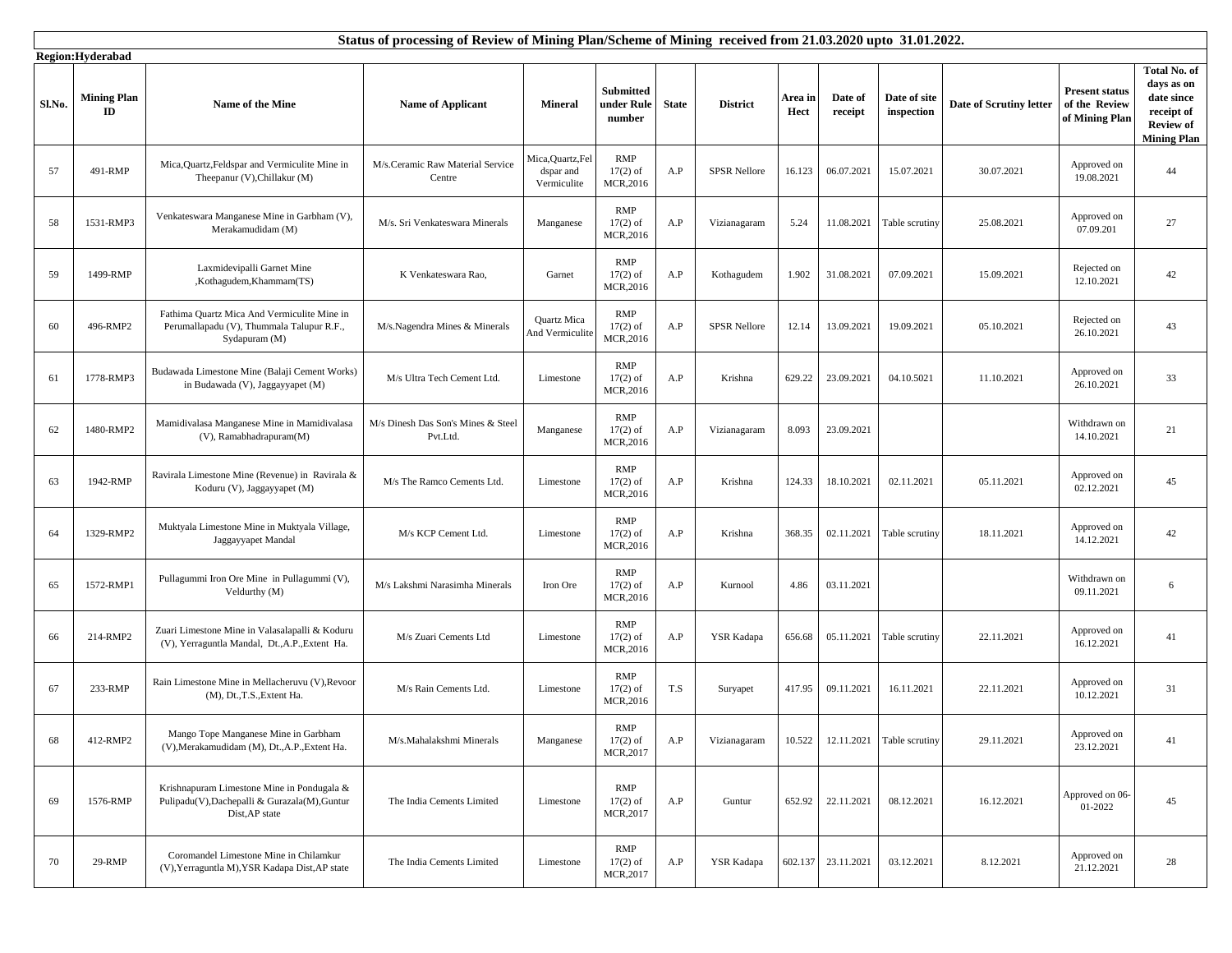|        | Status of processing of Review of Mining Plan/Scheme of Mining received from 21.03.2020 upto 31.01.2022. |                                                                                                               |                                                |                                               |                                       |              |                     |                 |                    |                            |                         |                                                          |                                                                                                  |
|--------|----------------------------------------------------------------------------------------------------------|---------------------------------------------------------------------------------------------------------------|------------------------------------------------|-----------------------------------------------|---------------------------------------|--------------|---------------------|-----------------|--------------------|----------------------------|-------------------------|----------------------------------------------------------|--------------------------------------------------------------------------------------------------|
| Sl.No. | Region:Hyderabad<br><b>Mining Plan</b><br>ID                                                             | Name of the Mine                                                                                              | <b>Name of Applicant</b>                       | <b>Mineral</b>                                | Submitted<br>under Rule<br>number     | <b>State</b> | <b>District</b>     | Area in<br>Hect | Date of<br>receipt | Date of site<br>inspection | Date of Scrutiny letter | <b>Present status</b><br>of the Review<br>of Mining Plan | Total No. of<br>days as on<br>date since<br>receipt of<br><b>Review of</b><br><b>Mining Plan</b> |
| 57     | 491-RMP                                                                                                  | Mica, Quartz, Feldspar and Vermiculite Mine in<br>Theepanur (V), Chillakur (M)                                | M/s.Ceramic Raw Material Service<br>Centre     | Mica, Quartz, Fel<br>dspar and<br>Vermiculite | <b>RMP</b><br>$17(2)$ of<br>MCR, 2016 | A.P          | <b>SPSR Nellore</b> | 16.123          | 06.07.2021         | 15.07.2021                 | 30.07.2021              | Approved on<br>19.08.2021                                | 44                                                                                               |
| 58     | 1531-RMP3                                                                                                | Venkateswara Manganese Mine in Garbham (V),<br>Merakamudidam (M)                                              | M/s. Sri Venkateswara Minerals                 | Manganese                                     | RMP<br>$17(2)$ of<br>MCR, 2016        | A.P          | Vizianagaram        | 5.24            | 11.08.2021         | Table scrutiny             | 25.08.2021              | Approved on<br>07.09.201                                 | 27                                                                                               |
| 59     | 1499-RMP                                                                                                 | Laxmidevipalli Garnet Mine<br>,Kothagudem,Khammam(TS)                                                         | K Venkateswara Rao,                            | Garnet                                        | <b>RMP</b><br>$17(2)$ of<br>MCR, 2016 | A.P          | Kothagudem          | 1.902           | 31.08.2021         | 07.09.2021                 | 15.09.2021              | Rejected on<br>12.10.2021                                | 42                                                                                               |
| 60     | 496-RMP2                                                                                                 | Fathima Quartz Mica And Vermiculite Mine in<br>Perumallapadu (V), Thummala Talupur R.F.,<br>Sydapuram (M)     | M/s.Nagendra Mines & Minerals                  | <b>Quartz Mica</b><br>And Vermiculite         | <b>RMP</b><br>$17(2)$ of<br>MCR, 2016 | A.P          | <b>SPSR Nellore</b> | 12.14           | 13.09.2021         | 19.09.2021                 | 05.10.2021              | Rejected on<br>26.10.2021                                | 43                                                                                               |
| 61     | 1778-RMP3                                                                                                | Budawada Limestone Mine (Balaji Cement Works)<br>in Budawada (V), Jaggayyapet (M)                             | M/s Ultra Tech Cement Ltd.                     | Limestone                                     | <b>RMP</b><br>$17(2)$ of<br>MCR, 2016 | A.P          | Krishna             | 629.22          | 23.09.2021         | 04.10.5021                 | 11.10.2021              | Approved on<br>26.10.2021                                | 33                                                                                               |
| 62     | 1480-RMP2                                                                                                | Mamidivalasa Manganese Mine in Mamidivalasa<br>(V), Ramabhadrapuram(M)                                        | M/s Dinesh Das Son's Mines & Steel<br>Pvt.Ltd. | Manganese                                     | RMP<br>$17(2)$ of<br>MCR, 2016        | A.P          | Vizianagaram        | 8.093           | 23.09.2021         |                            |                         | Withdrawn on<br>14.10.2021                               | 21                                                                                               |
| 63     | 1942-RMP                                                                                                 | Ravirala Limestone Mine (Revenue) in Ravirala &<br>Koduru (V), Jaggayyapet (M)                                | M/s The Ramco Cements Ltd.                     | Limestone                                     | <b>RMP</b><br>$17(2)$ of<br>MCR, 2016 | A.P          | Krishna             | 124.33          | 18.10.2021         | 02.11.2021                 | 05.11.2021              | Approved on<br>02.12.2021                                | 45                                                                                               |
| 64     | 1329-RMP2                                                                                                | Muktyala Limestone Mine in Muktyala Village,<br>Jaggayyapet Mandal                                            | M/s KCP Cement Ltd.                            | Limestone                                     | <b>RMP</b><br>$17(2)$ of<br>MCR, 2016 | A.P          | Krishna             | 368.35          | 02.11.2021         | Table scrutiny             | 18.11.2021              | Approved on<br>14.12.2021                                | 42                                                                                               |
| 65     | 1572-RMP1                                                                                                | Pullagummi Iron Ore Mine in Pullagummi (V),<br>Veldurthy (M)                                                  | M/s Lakshmi Narasimha Minerals                 | Iron Ore                                      | RMP<br>$17(2)$ of<br>MCR, 2016        | A.P          | Kurnool             | 4.86            | 03.11.2021         |                            |                         | Withdrawn on<br>09.11.2021                               | 6                                                                                                |
| 66     | 214-RMP2                                                                                                 | Zuari Limestone Mine in Valasalapalli & Koduru<br>(V), Yerraguntla Mandal, Dt.,A.P., Extent Ha.               | M/s Zuari Cements Ltd                          | Limestone                                     | RMP<br>$17(2)$ of<br>MCR,2016         | A.P          | YSR Kadapa          | 656.68          | 05.11.2021         | Table scrutiny             | 22.11.2021              | Approved on<br>16.12.2021                                | 41                                                                                               |
| 67     | 233-RMP                                                                                                  | Rain Limestone Mine in Mellacheruvu (V), Revoor<br>(M), Dt., T.S., Extent Ha.                                 | M/s Rain Cements Ltd.                          | Limestone                                     | RMP<br>$17(2)$ of<br>MCR, 2016        | T.S          | Suryapet            | 417.95          | 09.11.2021         | 16.11.2021                 | 22.11.2021              | Approved on<br>10.12.2021                                | 31                                                                                               |
| 68     | 412-RMP2                                                                                                 | Mango Tope Manganese Mine in Garbham<br>(V), Merakamudidam (M), Dt., A.P., Extent Ha.                         | M/s.Mahalakshmi Minerals                       | Manganese                                     | RMP<br>$17(2)$ of<br>MCR, 2017        | A.P          | Vizianagaram        | 10.522          | 12.11.2021         | Table scrutiny             | 29.11.2021              | Approved on<br>23.12.2021                                | 41                                                                                               |
| 69     | 1576-RMP                                                                                                 | Krishnapuram Limestone Mine in Pondugala &<br>Pulipadu(V), Dachepalli & Gurazala(M), Guntur<br>Dist, AP state | The India Cements Limited                      | Limestone                                     | RMP<br>$17(2)$ of<br>MCR, 2017        | A.P          | Guntur              | 652.92          | 22.11.2021         | 08.12.2021                 | 16.12.2021              | Approved on 06-<br>01-2022                               | 45                                                                                               |
| 70     | 29-RMP                                                                                                   | Coromandel Limestone Mine in Chilamkur<br>(V), Yerraguntla M), YSR Kadapa Dist, AP state                      | The India Cements Limited                      | Limestone                                     | RMP<br>$17(2)$ of<br>MCR, 2017        | A.P          | YSR Kadapa          |                 | 602.137 23.11.2021 | 03.12.2021                 | 8.12.2021               | Approved on<br>21.12.2021                                | 28                                                                                               |